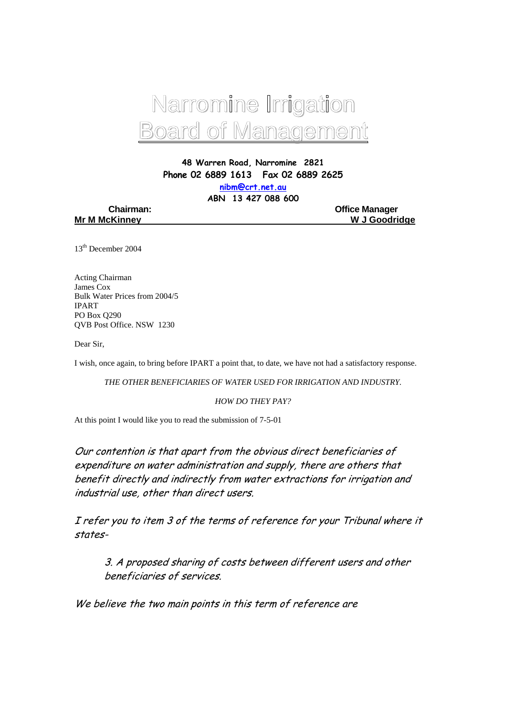

**48 Warren Road, Narromine 2821 Phone 02 6889 1613 Fax 02 6889 2625** 

**nibm@crt.net.au** 

**ABN 13 427 088 600** 

|  | <b>Chairman:</b>     |
|--|----------------------|
|  | <b>Mr M McKinney</b> |

**Office Manager W J Goodridge** 

13th December 2004

Acting Chairman James Cox Bulk Water Prices from 2004/5 IPART PO Box Q290 QVB Post Office. NSW 1230

Dear Sir,

I wish, once again, to bring before IPART a point that, to date, we have not had a satisfactory response.

*THE OTHER BENEFICIARIES OF WATER USED FOR IRRIGATION AND INDUSTRY.* 

*HOW DO THEY PAY?* 

At this point I would like you to read the submission of 7-5-01

Our contention is that apart from the obvious direct beneficiaries of expenditure on water administration and supply, there are others that benefit directly and indirectly from water extractions for irrigation and industrial use, other than direct users.

I refer you to item 3 of the terms of reference for your Tribunal where it states-

 3. A proposed sharing of costs between different users and other beneficiaries of services.

We believe the two main points in this term of reference are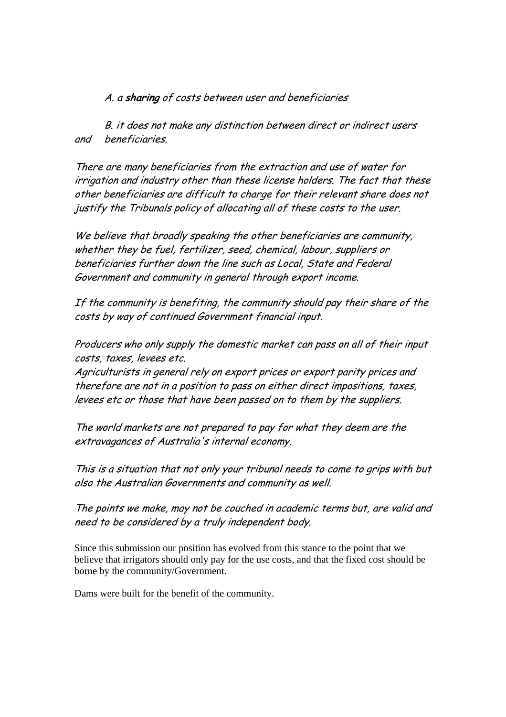A. a **sharing** of costs between user and beneficiaries

 B. it does not make any distinction between direct or indirect users and beneficiaries.

There are many beneficiaries from the extraction and use of water for irrigation and industry other than these license holders. The fact that these other beneficiaries are difficult to charge for their relevant share does not justify the Tribunals policy of allocating all of these costs to the user.

We believe that broadly speaking the other beneficiaries are community, whether they be fuel, fertilizer, seed, chemical, labour, suppliers or beneficiaries further down the line such as Local, State and Federal Government and community in general through export income.

If the community is benefiting, the community should pay their share of the costs by way of continued Government financial input.

Producers who only supply the domestic market can pass on all of their input costs, taxes, levees etc.

Agriculturists in general rely on export prices or export parity prices and therefore are not in a position to pass on either direct impositions, taxes, levees etc or those that have been passed on to them by the suppliers.

The world markets are not prepared to pay for what they deem are the extravagances of Australia's internal economy.

This is a situation that not only your tribunal needs to come to grips with but also the Australian Governments and community as well.

The points we make, may not be couched in academic terms but, are valid and need to be considered by a truly independent body.

Since this submission our position has evolved from this stance to the point that we believe that irrigators should only pay for the use costs, and that the fixed cost should be borne by the community/Government.

Dams were built for the benefit of the community.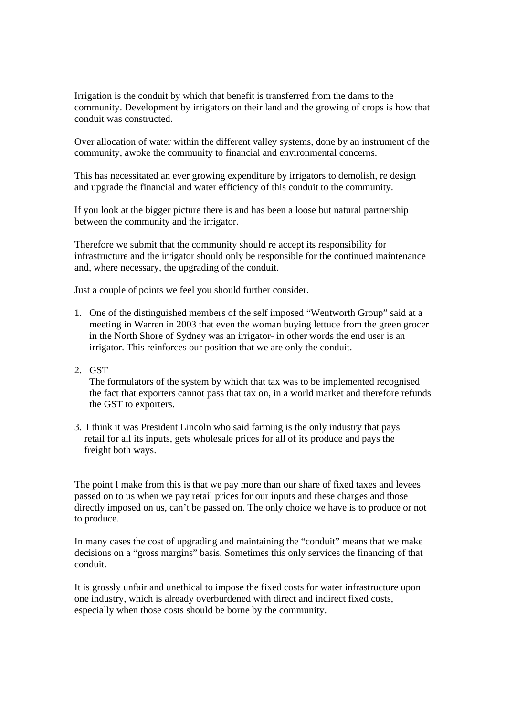Irrigation is the conduit by which that benefit is transferred from the dams to the community. Development by irrigators on their land and the growing of crops is how that conduit was constructed.

Over allocation of water within the different valley systems, done by an instrument of the community, awoke the community to financial and environmental concerns.

This has necessitated an ever growing expenditure by irrigators to demolish, re design and upgrade the financial and water efficiency of this conduit to the community.

If you look at the bigger picture there is and has been a loose but natural partnership between the community and the irrigator.

Therefore we submit that the community should re accept its responsibility for infrastructure and the irrigator should only be responsible for the continued maintenance and, where necessary, the upgrading of the conduit.

Just a couple of points we feel you should further consider.

- 1. One of the distinguished members of the self imposed "Wentworth Group" said at a meeting in Warren in 2003 that even the woman buying lettuce from the green grocer in the North Shore of Sydney was an irrigator- in other words the end user is an irrigator. This reinforces our position that we are only the conduit.
- 2. GST

The formulators of the system by which that tax was to be implemented recognised the fact that exporters cannot pass that tax on, in a world market and therefore refunds the GST to exporters.

3. I think it was President Lincoln who said farming is the only industry that pays retail for all its inputs, gets wholesale prices for all of its produce and pays the freight both ways.

The point I make from this is that we pay more than our share of fixed taxes and levees passed on to us when we pay retail prices for our inputs and these charges and those directly imposed on us, can't be passed on. The only choice we have is to produce or not to produce.

In many cases the cost of upgrading and maintaining the "conduit" means that we make decisions on a "gross margins" basis. Sometimes this only services the financing of that conduit.

It is grossly unfair and unethical to impose the fixed costs for water infrastructure upon one industry, which is already overburdened with direct and indirect fixed costs, especially when those costs should be borne by the community.